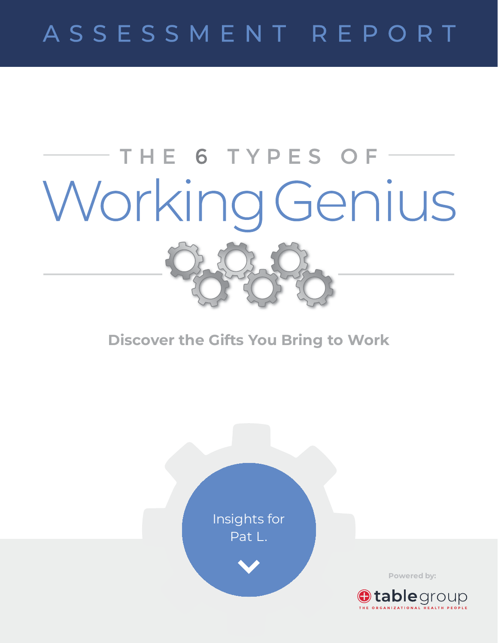# ASSESSMENT REPORT

# THE 6 TYPES OF-Working Genius

**Discover the Gifts You Bring to Work**



**Powered by:**

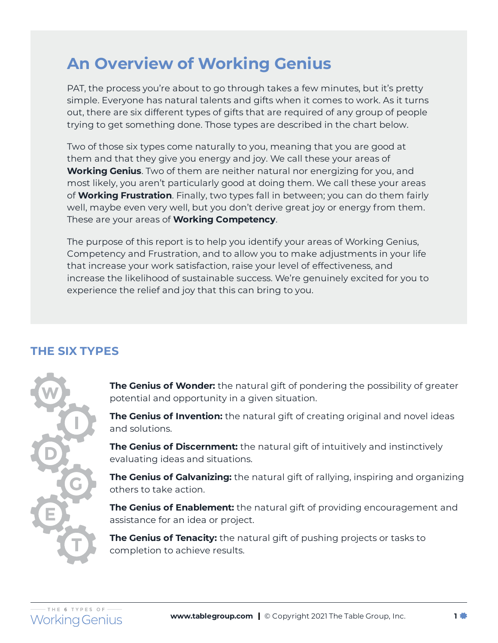# **An Overview of Working Genius**

PAT, the process you're about to go through takes a few minutes, but it's pretty simple. Everyone has natural talents and gifts when it comes to work. As it turns out, there are six different types of gifts that are required of any group of people trying to get something done. Those types are described in the chart below.

Two of those six types come naturally to you, meaning that you are good at them and that they give you energy and joy. We call these your areas of **Working Genius**. Two of them are neither natural nor energizing for you, and most likely, you aren't particularly good at doing them. We call these your areas of **Working Frustration**. Finally, two types fall in between; you can do them fairly well, maybe even very well, but you don't derive great joy or energy from them. These are your areas of **Working Competency**.

The purpose of this report is to help you identify your areas of Working Genius, Competency and Frustration, and to allow you to make adjustments in your life that increase your work satisfaction, raise your level of effectiveness, and increase the likelihood of sustainable success. We're genuinely excited for you to experience the relief and joy that this can bring to you.

# **THE SIX TYPES**



**The Genius of Wonder:** the natural gift of pondering the possibility of greater potential and opportunity in a given situation.

**The Genius of Invention:** the natural gift of creating original and novel ideas and solutions.

**The Genius of Discernment:** the natural gift of intuitively and instinctively evaluating ideas and situations.

**The Genius of Galvanizing:** the natural gift of rallying, inspiring and organizing others to take action.

**The Genius of Enablement:** the natural gift of providing encouragement and assistance for an idea or project.

**The Genius of Tenacity:** the natural gift of pushing projects or tasks to completion to achieve results.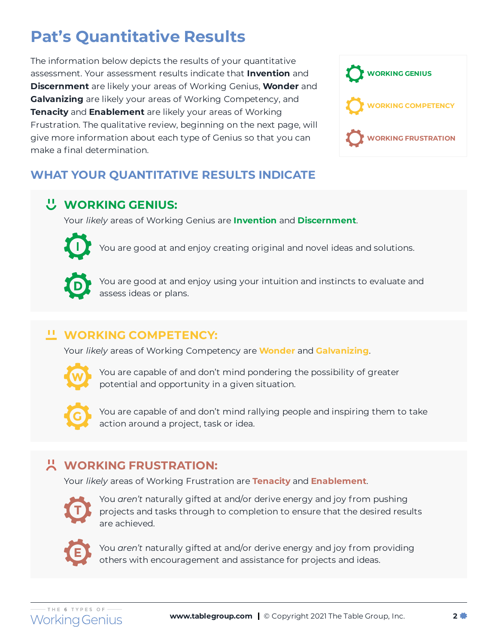# **Pat's Quantitative Results**

The information below depicts the results of your quantitative assessment. Your assessment results indicate that **Invention** and **Discernment** are likely your areas of Working Genius, **Wonder** and **Galvanizing** are likely your areas of Working Competency, and **Tenacity** and **Enablement** are likely your areas of Working Frustration. The qualitative review, beginning on the next page, will give more information about each type of Genius so that you can make a final determination.



# **WHAT YOUR QUANTITATIVE RESULTS INDICATE**

# **WORKING GENIUS:**

Your *likely* areas of Working Genius are **Invention** and **Discernment**.



You are good at and enjoy creating original and novel ideas and solutions.



You are good at and enjoy using your intuition and instincts to evaluate and assess ideas or plans.

## **WORKING COMPETENCY:**

Your *likely* areas of Working Competency are **Wonder** and **Galvanizing**.



You are capable of and don't mind pondering the possibility of greater potential and opportunity in a given situation.



You are capable of and don't mind rallying people and inspiring them to take action around a project, task or idea.

# **WORKING FRUSTRATION:**

Your *likely* areas of Working Frustration are **Tenacity** and **Enablement**.



You *aren't* naturally gifted at and/or derive energy and joy from pushing projects and tasks through to completion to ensure that the desired results are achieved.



You *aren't* naturally gifted at and/or derive energy and joy from providing others with encouragement and assistance for projects and ideas.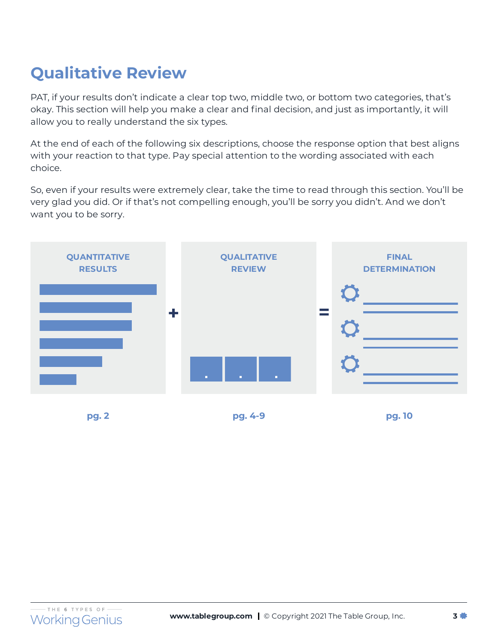# **Qualitative Review**

PAT, if your results don't indicate a clear top two, middle two, or bottom two categories, that's okay. This section will help you make a clear and final decision, and just as importantly, it will allow you to really understand the six types.

At the end of each of the following six descriptions, choose the response option that best aligns with your reaction to that type. Pay special attention to the wording associated with each choice.

So, even if your results were extremely clear, take the time to read through this section. You'll be very glad you did. Or if that's not compelling enough, you'll be sorry you didn't. And we don't want you to be sorry.

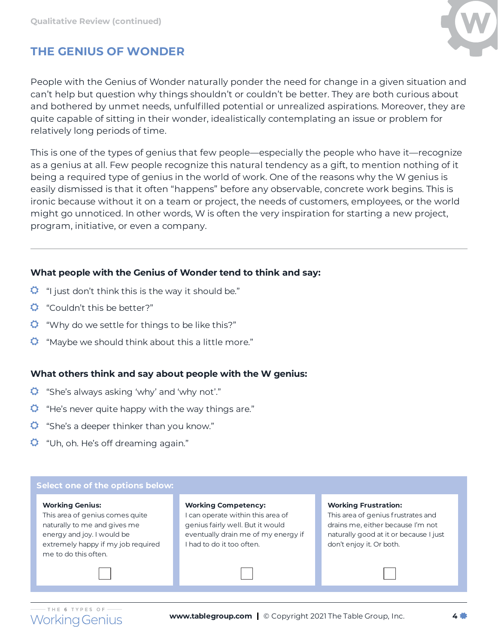

# **THE GENIUS OF WONDER**

People with the Genius of Wonder naturally ponder the need for change in a given situation and can't help but question why things shouldn't or couldn't be better. They are both curious about and bothered by unmet needs, unfulfilled potential or unrealized aspirations. Moreover, they are quite capable of sitting in their wonder, idealistically contemplating an issue or problem for relatively long periods of time.

This is one of the types of genius that few people—especially the people who have it—recognize as a genius at all. Few people recognize this natural tendency as a gift, to mention nothing of it being a required type of genius in the world of work. One of the reasons why the W genius is easily dismissed is that it often "happens" before any observable, concrete work begins. This is ironic because without it on a team or project, the needs of customers, employees, or the world might go unnoticed. In other words, W is often the very inspiration for starting a new project, program, initiative, or even a company.

#### **What people with the Genius of Wonder tend to think and say:**

- $\ddot{Q}$  "I just don't think this is the way it should be."
- "Couldn't this be better?"
- $\bullet$  "Why do we settle for things to be like this?"
- $\ddot{Q}$  "Maybe we should think about this a little more."

#### **What others think and say about people with the W genius:**

- "She's always asking 'why' and 'why not'."
- **C** "He's never quite happy with the way things are."
- $\ddot{Q}$  "She's a deeper thinker than you know."
- $\ddot{Q}$  "Uh, oh. He's off dreaming again."

#### **Select one of the options below:**

#### **Working Genius:**

This area of genius comes quite naturally to me and gives me energy and joy. I would be extremely happy if my job required me to do this often.

**Working Competency:**

I can operate within this area of genius fairly well. But it would eventually drain me of my energy if I had to do it too often.

#### **Working Frustration:**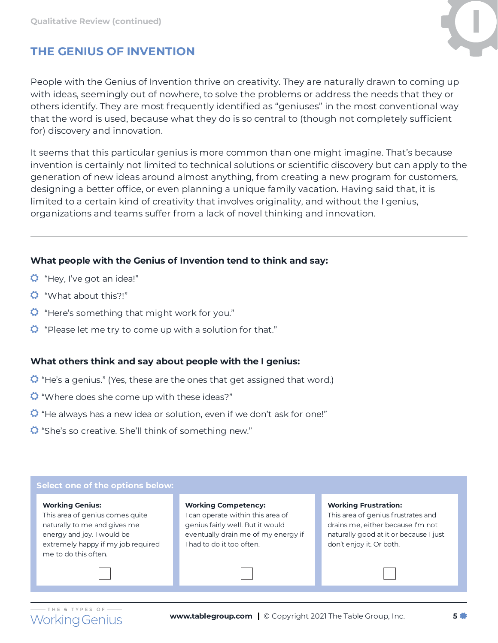

# **THE GENIUS OF INVENTION**

People with the Genius of Invention thrive on creativity. They are naturally drawn to coming up with ideas, seemingly out of nowhere, to solve the problems or address the needs that they or others identify. They are most frequently identified as "geniuses" in the most conventional way that the word is used, because what they do is so central to (though not completely sufficient for) discovery and innovation.

It seems that this particular genius is more common than one might imagine. That's because invention is certainly not limited to technical solutions or scientific discovery but can apply to the generation of new ideas around almost anything, from creating a new program for customers, designing a better office, or even planning a unique family vacation. Having said that, it is limited to a certain kind of creativity that involves originality, and without the I genius, organizations and teams suffer from a lack of novel thinking and innovation.

#### **What people with the Genius of Invention tend to think and say:**

- $\bullet$  "Hey, I've got an idea!"
- "What about this?!"
- $\ddot{Q}$  "Here's something that might work for you."
- $\bullet$  "Please let me try to come up with a solution for that."

#### **What others think and say about people with the I genius:**

- $\bullet$  "He's a genius." (Yes, these are the ones that get assigned that word.)
- $\ddot{Q}$  "Where does she come up with these ideas?"
- "He always has a new idea or solution, even if we don't ask for one!"
- <sup>2</sup> "She's so creative. She'll think of something new."

#### **Select one of the options below:**

#### **Working Genius:**

This area of genius comes quite naturally to me and gives me energy and joy. I would be extremely happy if my job required me to do this often.

**Working Competency:**

I can operate within this area of genius fairly well. But it would eventually drain me of my energy if I had to do it too often.

#### **Working Frustration:**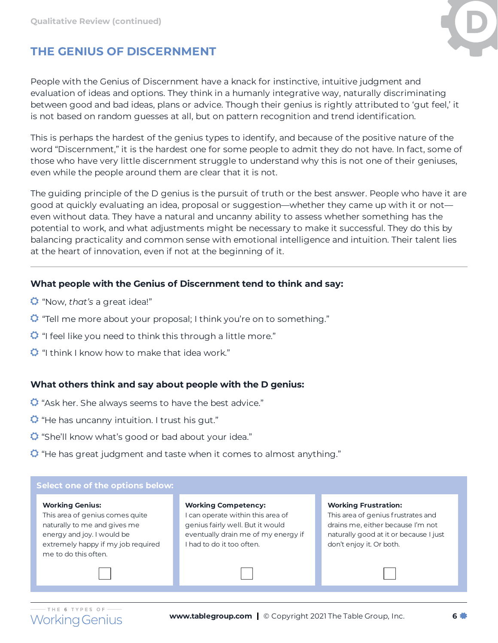

# **THE GENIUS OF DISCERNMENT**

People with the Genius of Discernment have a knack for instinctive, intuitive judgment and evaluation of ideas and options. They think in a humanly integrative way, naturally discriminating between good and bad ideas, plans or advice. Though their genius is rightly attributed to 'gut feel,' it is not based on random guesses at all, but on pattern recognition and trend identification.

This is perhaps the hardest of the genius types to identify, and because of the positive nature of the word "Discernment," it is the hardest one for some people to admit they do not have. In fact, some of those who have very little discernment struggle to understand why this is not one of their geniuses, even while the people around them are clear that it is not.

The guiding principle of the D genius is the pursuit of truth or the best answer. People who have it are good at quickly evaluating an idea, proposal or suggestion—whether they came up with it or not even without data. They have a natural and uncanny ability to assess whether something has the potential to work, and what adjustments might be necessary to make it successful. They do this by balancing practicality and common sense with emotional intelligence and intuition. Their talent lies at the heart of innovation, even if not at the beginning of it.

#### **What people with the Genius of Discernment tend to think and say:**

- "Now, *that's* a great idea!"
- $\ddot{Q}$  "Tell me more about your proposal; I think you're on to something."
- $\ddot{Q}$  "I feel like you need to think this through a little more."
- $\bullet$  "I think I know how to make that idea work."

#### **What others think and say about people with the D genius:**

- $\bullet$  "Ask her. She always seems to have the best advice."
- $\bullet$  "He has uncanny intuition. I trust his gut."
- **C** "She'll know what's good or bad about your idea."
- "He has great judgment and taste when it comes to almost anything."

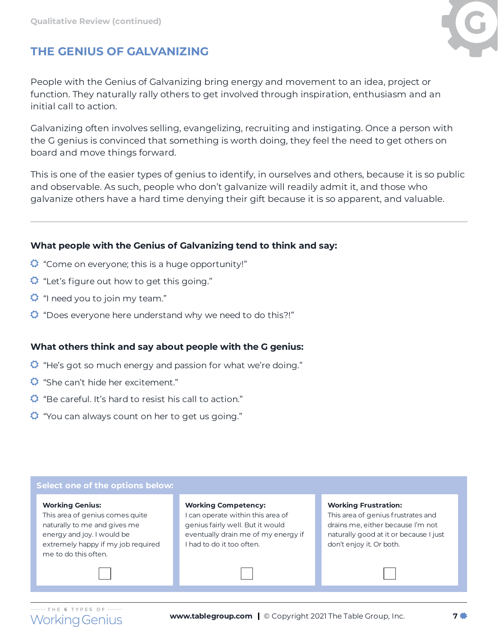

# **THE GENIUS OF GALVANIZING**

People with the Genius of Galvanizing bring energy and movement to an idea, project or function. They naturally rally others to get involved through inspiration, enthusiasm and an initial call to action.

Galvanizing often involves selling, evangelizing, recruiting and instigating. Once a person with the G genius is convinced that something is worth doing, they feel the need to get others on board and move things forward.

This is one of the easier types of genius to identify, in ourselves and others, because it is so public and observable. As such, people who don't galvanize will readily admit it, and those who galvanize others have a hard time denying their gift because it is so apparent, and valuable.

#### **What people with the Genius of Galvanizing tend to think and say:**

- $\bullet$  "Come on everyone; this is a huge opportunity!"
- $\bullet$  "Let's figure out how to get this going."
- $\bullet$  "I need you to join my team."
- "Does everyone here understand why we need to do this?!"

#### **What others think and say about people with the G genius:**

- "He's got so much energy and passion for what we're doing."
- She can't hide her excitement."
- $\bullet$  "Be careful. It's hard to resist his call to action."
- $\ddot{Q}$  "You can always count on her to get us going."

#### **Select one of the options below:**

#### **Working Genius:**

This area of genius comes quite naturally to me and gives me energy and joy. I would be extremely happy if my job required me to do this often.

#### **Working Competency:**

I can operate within this area of genius fairly well. But it would eventually drain me of my energy if I had to do it too often.

#### **Working Frustration:**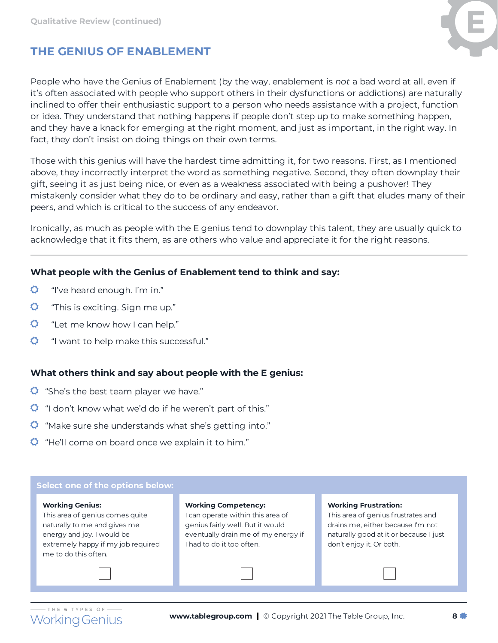

# **THE GENIUS OF ENABLEMENT**

People who have the Genius of Enablement (by the way, enablement is *not* a bad word at all, even if it's often associated with people who support others in their dysfunctions or addictions) are naturally inclined to offer their enthusiastic support to a person who needs assistance with a project, function or idea. They understand that nothing happens if people don't step up to make something happen, and they have a knack for emerging at the right moment, and just as important, in the right way. In fact, they don't insist on doing things on their own terms.

Those with this genius will have the hardest time admitting it, for two reasons. First, as I mentioned above, they incorrectly interpret the word as something negative. Second, they often downplay their gift, seeing it as just being nice, or even as a weakness associated with being a pushover! They mistakenly consider what they do to be ordinary and easy, rather than a gift that eludes many of their peers, and which is critical to the success of any endeavor.

Ironically, as much as people with the E genius tend to downplay this talent, they are usually quick to acknowledge that it fits them, as are others who value and appreciate it for the right reasons.

#### **What people with the Genius of Enablement tend to think and say:**

- $\bullet$ "I've heard enough. I'm in."
- $\circ$ "This is exciting. Sign me up."
- Ö. "Let me know how I can help."
- $\bullet$ "I want to help make this successful."

#### **What others think and say about people with the E genius:**

- $\ddot{Q}$  "She's the best team player we have."
- $\ddot{Q}$  "I don't know what we'd do if he weren't part of this."
- $\ddot{Q}$  "Make sure she understands what she's getting into."
- $\ddot{Q}$  "He'll come on board once we explain it to him."

# **Select one of the options below:**

#### **Working Genius:**

This area of genius comes quite naturally to me and gives me energy and joy. I would be extremely happy if my job required me to do this often.

**Working Competency:**

I can operate within this area of genius fairly well. But it would eventually drain me of my energy if I had to do it too often.

#### **Working Frustration:**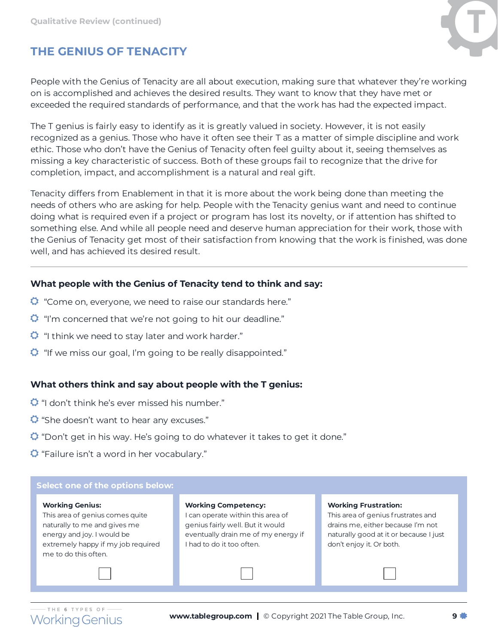

# **THE GENIUS OF TENACITY**

People with the Genius of Tenacity are all about execution, making sure that whatever they're working on is accomplished and achieves the desired results. They want to know that they have met or exceeded the required standards of performance, and that the work has had the expected impact.

The T genius is fairly easy to identify as it is greatly valued in society. However, it is not easily recognized as a genius. Those who have it often see their T as a matter of simple discipline and work ethic. Those who don't have the Genius of Tenacity often feel guilty about it, seeing themselves as missing a key characteristic of success. Both of these groups fail to recognize that the drive for completion, impact, and accomplishment is a natural and real gift.

Tenacity differs from Enablement in that it is more about the work being done than meeting the needs of others who are asking for help. People with the Tenacity genius want and need to continue doing what is required even if a project or program has lost its novelty, or if attention has shifted to something else. And while all people need and deserve human appreciation for their work, those with the Genius of Tenacity get most of their satisfaction from knowing that the work is finished, was done well, and has achieved its desired result.

#### **What people with the Genius of Tenacity tend to think and say:**

- **C** "Come on, everyone, we need to raise our standards here."
- $\Omega$  "I'm concerned that we're not going to hit our deadline."
- $\ddot{Q}$  "I think we need to stay later and work harder."
- $\Omega$  "If we miss our goal, I'm going to be really disappointed."

#### **What others think and say about people with the T genius:**

- $\bullet$  "I don't think he's ever missed his number."
- <sup>2</sup> "She doesn't want to hear any excuses."
- "Don't get in his way. He's going to do whatever it takes to get it done."
- $\bullet$  "Failure isn't a word in her vocabulary."

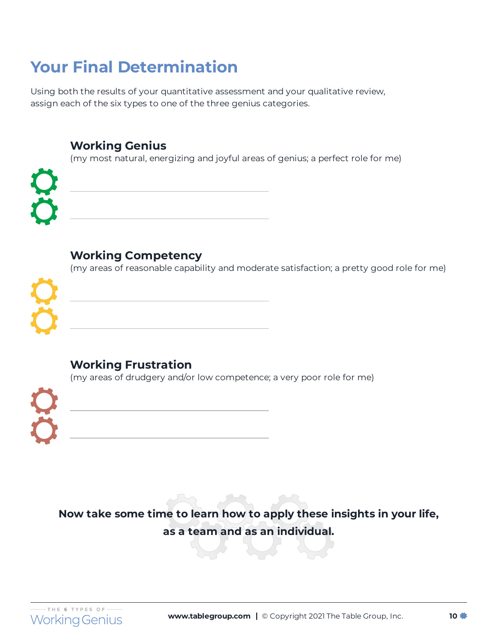# **Your Final Determination**

Using both the results of your quantitative assessment and your qualitative review, assign each of the six types to one of the three genius categories.

## **Working Genius**

(my most natural, energizing and joyful areas of genius; a perfect role for me)



# **Working Competency**

(my areas of reasonable capability and moderate satisfaction; a pretty good role for me)



# **Working Frustration**

(my areas of drudgery and/or low competence; a very poor role for me)



**Now take some time to learn how to apply these insights in your life, as a team and as an individual.**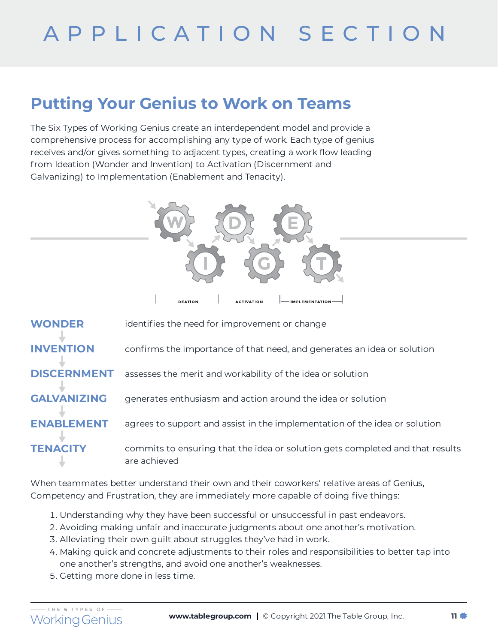# **Putting Your Genius to Work on Teams**

The Six Types of Working Genius create an interdependent model and provide a comprehensive process for accomplishing any type of work. Each type of genius receives and/or gives something to adjacent types, creating a work flow leading from Ideation (Wonder and Invention) to Activation (Discernment and Galvanizing) to Implementation (Enablement and Tenacity).



**TENACITY** commits to ensuring that the idea or solution gets completed and that results are achieved

When teammates better understand their own and their coworkers' relative areas of Genius, Competency and Frustration, they are immediately more capable of doing five things:

- . Understanding why they have been successful or unsuccessful in past endeavors.
- . Avoiding making unfair and inaccurate judgments about one another's motivation.
- . Alleviating their own guilt about struggles they've had in work.
- . Making quick and concrete adjustments to their roles and responsibilities to better tap into one another's strengths, and avoid one another's weaknesses.
- . Getting more done in less time.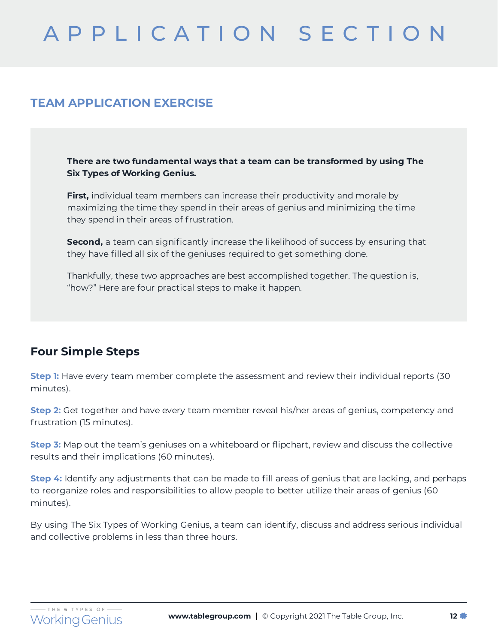## **TEAM APPLICATION EXERCISE**

**There are two fundamental ways that a team can be transformed by using The Six Types of Working Genius.**

**First,** individual team members can increase their productivity and morale by maximizing the time they spend in their areas of genius and minimizing the time they spend in their areas of frustration.

**Second,** a team can significantly increase the likelihood of success by ensuring that they have filled all six of the geniuses required to get something done.

Thankfully, these two approaches are best accomplished together. The question is, "how?" Here are four practical steps to make it happen.

## **Four Simple Steps**

**Step 1:** Have every team member complete the assessment and review their individual reports (30 minutes).

**Step 2:** Get together and have every team member reveal his/her areas of genius, competency and frustration (15 minutes).

**Step 3:** Map out the team's geniuses on a whiteboard or flipchart, review and discuss the collective results and their implications (60 minutes).

**Step 4:** Identify any adjustments that can be made to fill areas of genius that are lacking, and perhaps to reorganize roles and responsibilities to allow people to better utilize their areas of genius (60 minutes).

By using The Six Types of Working Genius, a team can identify, discuss and address serious individual and collective problems in less than three hours.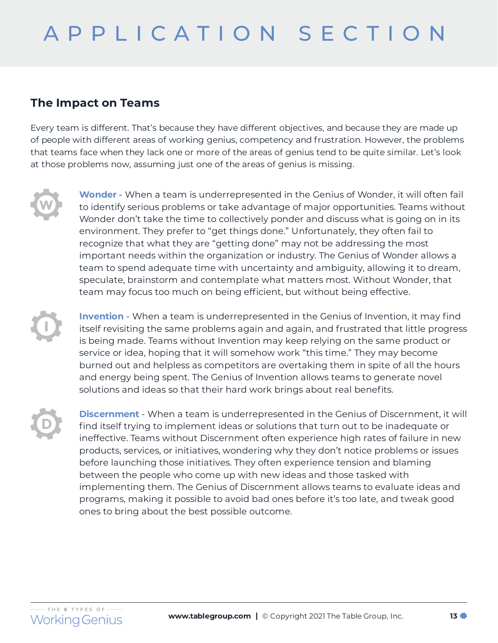## **The Impact on Teams**

Every team is different. That's because they have different objectives, and because they are made up of people with different areas of working genius, competency and frustration. However, the problems that teams face when they lack one or more of the areas of genius tend to be quite similar. Let's look at those problems now, assuming just one of the areas of genius is missing.

**Wonder** - When a team is underrepresented in the Genius of Wonder, it will often fail to identify serious problems or take advantage of major opportunities. Teams without Wonder don't take the time to collectively ponder and discuss what is going on in its environment. They prefer to "get things done." Unfortunately, they often fail to recognize that what they are "getting done" may not be addressing the most important needs within the organization or industry. The Genius of Wonder allows a team to spend adequate time with uncertainty and ambiguity, allowing it to dream, speculate, brainstorm and contemplate what matters most. Without Wonder, that team may focus too much on being efficient, but without being effective.

**Invention** - When a team is underrepresented in the Genius of Invention, it may find itself revisiting the same problems again and again, and frustrated that little progress is being made. Teams without Invention may keep relying on the same product or service or idea, hoping that it will somehow work "this time." They may become burned out and helpless as competitors are overtaking them in spite of all the hours and energy being spent. The Genius of Invention allows teams to generate novel solutions and ideas so that their hard work brings about real benefits.

**Discernment** - When a team is underrepresented in the Genius of Discernment, it will find itself trying to implement ideas or solutions that turn out to be inadequate or ineffective. Teams without Discernment often experience high rates of failure in new products, services, or initiatives, wondering why they don't notice problems or issues before launching those initiatives. They often experience tension and blaming between the people who come up with new ideas and those tasked with implementing them. The Genius of Discernment allows teams to evaluate ideas and programs, making it possible to avoid bad ones before it's too late, and tweak good ones to bring about the best possible outcome.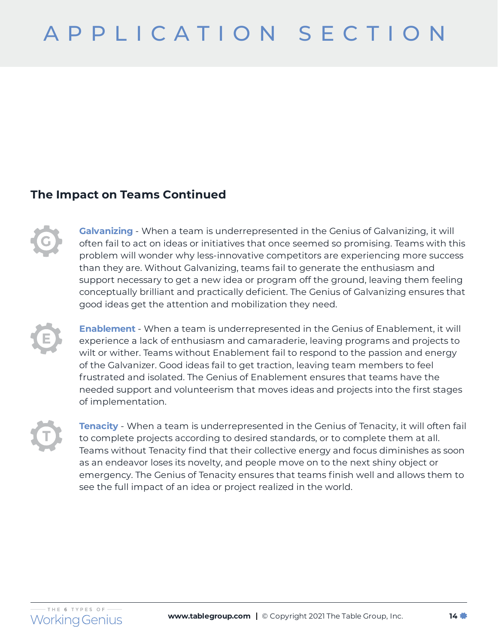## **The Impact on Teams Continued**

**Galvanizing** - When a team is underrepresented in the Genius of Galvanizing, it will often fail to act on ideas or initiatives that once seemed so promising. Teams with this problem will wonder why less-innovative competitors are experiencing more success than they are. Without Galvanizing, teams fail to generate the enthusiasm and support necessary to get a new idea or program off the ground, leaving them feeling conceptually brilliant and practically deficient. The Genius of Galvanizing ensures that good ideas get the attention and mobilization they need.

**Enablement** - When a team is underrepresented in the Genius of Enablement, it will experience a lack of enthusiasm and camaraderie, leaving programs and projects to wilt or wither. Teams without Enablement fail to respond to the passion and energy of the Galvanizer. Good ideas fail to get traction, leaving team members to feel frustrated and isolated. The Genius of Enablement ensures that teams have the needed support and volunteerism that moves ideas and projects into the first stages of implementation.

**Tenacity** - When a team is underrepresented in the Genius of Tenacity, it will often fail to complete projects according to desired standards, or to complete them at all. Teams without Tenacity find that their collective energy and focus diminishes as soon as an endeavor loses its novelty, and people move on to the next shiny object or emergency. The Genius of Tenacity ensures that teams finish well and allows them to see the full impact of an idea or project realized in the world.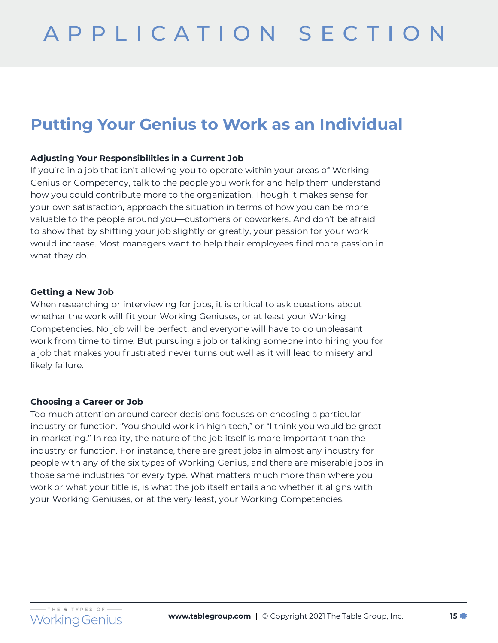# **Putting Your Genius to Work as an Individual**

#### **Adjusting Your Responsibilities in a Current Job**

If you're in a job that isn't allowing you to operate within your areas of Working Genius or Competency, talk to the people you work for and help them understand how you could contribute more to the organization. Though it makes sense for your own satisfaction, approach the situation in terms of how you can be more valuable to the people around you—customers or coworkers. And don't be afraid to show that by shifting your job slightly or greatly, your passion for your work would increase. Most managers want to help their employees find more passion in what they do.

#### **Getting a New Job**

When researching or interviewing for jobs, it is critical to ask questions about whether the work will fit your Working Geniuses, or at least your Working Competencies. No job will be perfect, and everyone will have to do unpleasant work from time to time. But pursuing a job or talking someone into hiring you for a job that makes you frustrated never turns out well as it will lead to misery and likely failure.

#### **Choosing a Career or Job**

Too much attention around career decisions focuses on choosing a particular industry or function. "You should work in high tech," or "I think you would be great in marketing." In reality, the nature of the job itself is more important than the industry or function. For instance, there are great jobs in almost any industry for people with any of the six types of Working Genius, and there are miserable jobs in those same industries for every type. What matters much more than where you work or what your title is, is what the job itself entails and whether it aligns with your Working Geniuses, or at the very least, your Working Competencies.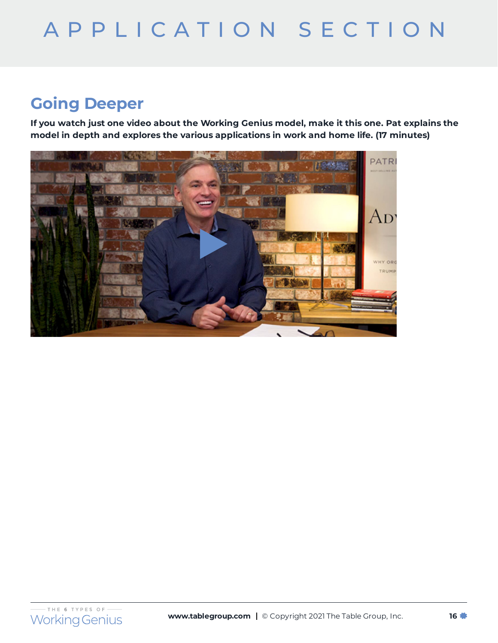# **Going Deeper**

**If you watch just one video about the Working Genius model, make it this one. Pat explains the model in depth and explores the various applications in work and home life. (17 minutes)**